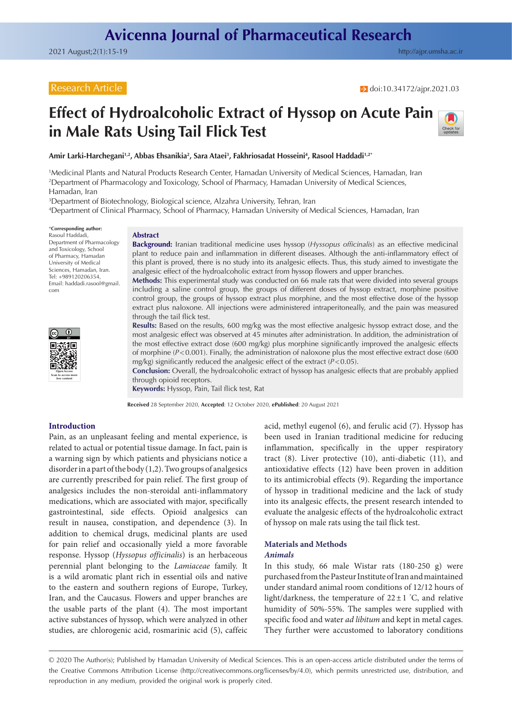# Research Article

# **Effect of Hydroalcoholic Extract of Hyssop on Acute Pain in Male Rats Using Tail Flick Test**



**Amir Larki-Harchegani1,2, Abbas Ehsanikia2 , Sara Ataei3 , Fakhriosadat Hosseini4 , Rasool Haddadi1,2\***

1 Medicinal Plants and Natural Products Research Center, Hamadan University of Medical Sciences, Hamadan, Iran 2 Department of Pharmacology and Toxicology, School of Pharmacy, Hamadan University of Medical Sciences, Hamadan, Iran

3 Department of Biotechnology, Biological science, Alzahra University, Tehran, Iran

4 Department of Clinical Pharmacy, School of Pharmacy, Hamadan University of Medical Sciences, Hamadan, Iran

\***Corresponding author:** Rasoul Haddadi, Department of Pharmacology and Toxicology, School of Pharmacy, Hamadan University of Medical Sciences, Hamadan, Iran. Tel: +989120206354, Email: haddadi.rasool@gmail. com

## **Abstract**

**Background:** Iranian traditional medicine uses hyssop (*Hyssopus officinalis*) as an effective medicinal plant to reduce pain and inflammation in different diseases. Although the anti-inflammatory effect of this plant is proved, there is no study into its analgesic effects. Thus, this study aimed to investigate the analgesic effect of the hydroalcoholic extract from hyssop flowers and upper branches.

**Methods:** This experimental study was conducted on 66 male rats that were divided into several groups including a saline control group, the groups of different doses of hyssop extract, morphine positive control group, the groups of hyssop extract plus morphine, and the most effective dose of the hyssop extract plus naloxone. All injections were administered intraperitoneally, and the pain was measured through the tail flick test.

**Results:** Based on the results, 600 mg/kg was the most effective analgesic hyssop extract dose, and the most analgesic effect was observed at 45 minutes after administration. In addition, the administration of the most effective extract dose (600 mg/kg) plus morphine significantly improved the analgesic effects of morphine (*P*<0.001). Finally, the administration of naloxone plus the most effective extract dose (600 mg/kg) significantly reduced the analgesic effect of the extract (*P*<0.05).

**Conclusion:** Overall, the hydroalcoholic extract of hyssop has analgesic effects that are probably applied through opioid receptors.

**Keywords:** Hyssop, Pain, Tail flick test, Rat

**Received** 28 September 2020, **Accepted**: 12 October 2020, **ePublished**: 20 August 2021

#### **Introduction**

**Open Access Scan to access more free content**

Pain, as an unpleasant feeling and mental experience, is related to actual or potential tissue damage. In fact, pain is a warning sign by which patients and physicians notice a disorder in a part of the body (1,2). Two groups of analgesics are currently prescribed for pain relief. The first group of analgesics includes the non-steroidal anti-inflammatory medications, which are associated with major, specifically gastrointestinal, side effects. Opioid analgesics can result in nausea, constipation, and dependence (3). In addition to chemical drugs, medicinal plants are used for pain relief and occasionally yield a more favorable response. Hyssop (*Hyssopus officinalis*) is an herbaceous perennial plant belonging to the *Lamiaceae* family. It is a wild aromatic plant rich in essential oils and native to the eastern and southern regions of Europe, Turkey, Iran, and the Caucasus. Flowers and upper branches are the usable parts of the plant (4). The most important active substances of hyssop, which were analyzed in other studies, are chlorogenic acid, rosmarinic acid (5), caffeic

acid, methyl eugenol (6), and ferulic acid (7). Hyssop has been used in Iranian traditional medicine for reducing inflammation, specifically in the upper respiratory tract (8). Liver protective (10), anti-diabetic (11), and antioxidative effects (12) have been proven in addition to its antimicrobial effects (9). Regarding the importance of hyssop in traditional medicine and the lack of study into its analgesic effects, the present research intended to evaluate the analgesic effects of the hydroalcoholic extract of hyssop on male rats using the tail flick test.

#### **Materials and Methods** *Animals*

In this study, 66 male Wistar rats (180-250 g) were purchased from the Pasteur Institute of Iran and maintained under standard animal room conditions of 12/12 hours of light/darkness, the temperature of  $22 \pm 1$  °C, and relative humidity of 50%-55%. The samples were supplied with specific food and water *ad libitum* and kept in metal cages. They further were accustomed to laboratory conditions

© 2020 The Author(s); Published by Hamadan University of Medical Sciences. This is an open-access article distributed under the terms of the Creative Commons Attribution License [\(http://creativecommons.org/licenses/by/4.0](http://creativecommons.org/licenses/by/4.0)), which permits unrestricted use, distribution, and reproduction in any medium, provided the original work is properly cited.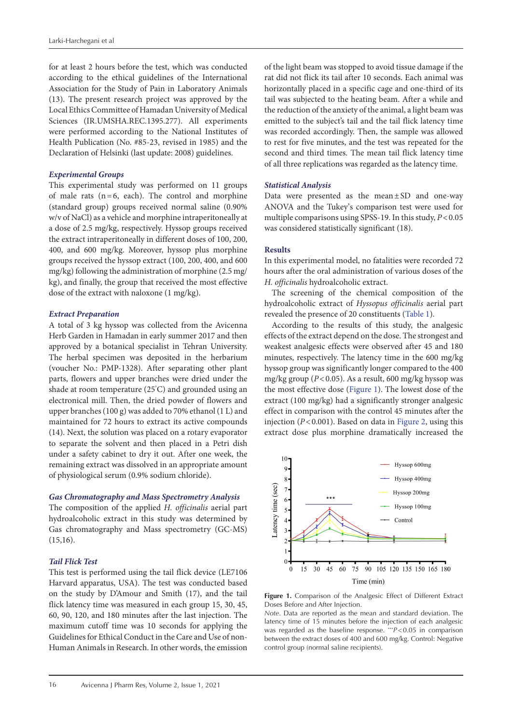for at least 2 hours before the test, which was conducted according to the ethical guidelines of the International Association for the Study of Pain in Laboratory Animals (13). The present research project was approved by the Local Ethics Committee of Hamadan University of Medical Sciences (IR.UMSHA.REC.1395.277). All experiments were performed according to the National Institutes of Health Publication (No. #85-23, revised in 1985) and the Declaration of Helsinki (last update: 2008) guidelines.

# *Experimental Groups*

This experimental study was performed on 11 groups of male rats  $(n=6, each)$ . The control and morphine (standard group) groups received normal saline (0.90% w/v of NaCl) as a vehicle and morphine intraperitoneally at a dose of 2.5 mg/kg, respectively. Hyssop groups received the extract intraperitoneally in different doses of 100, 200, 400, and 600 mg/kg. Moreover, hyssop plus morphine groups received the hyssop extract (100, 200, 400, and 600 mg/kg) following the administration of morphine (2.5 mg/ kg), and finally, the group that received the most effective dose of the extract with naloxone (1 mg/kg).

# *Extract Preparation*

A total of 3 kg hyssop was collected from the Avicenna Herb Garden in Hamadan in early summer 2017 and then approved by a botanical specialist in Tehran University. The herbal specimen was deposited in the herbarium (voucher No.: PMP-1328). After separating other plant parts, flowers and upper branches were dried under the shade at room temperature (25° C) and grounded using an electronical mill. Then, the dried powder of flowers and upper branches (100 g) was added to 70% ethanol (1 L) and maintained for 72 hours to extract its active compounds (14). Next, the solution was placed on a rotary evaporator to separate the solvent and then placed in a Petri dish under a safety cabinet to dry it out. After one week, the remaining extract was dissolved in an appropriate amount of physiological serum (0.9% sodium chloride).

## *Gas Chromatography and Mass Spectrometry Analysis*

The composition of the applied *H. officinalis* aerial part hydroalcoholic extract in this study was determined by Gas chromatography and Mass spectrometry (GC-MS)  $(15,16)$ .

# *Tail Flick Test*

This test is performed using the tail flick device (LE7106 Harvard apparatus, USA). The test was conducted based on the study by D'Amour and Smith (17), and the tail flick latency time was measured in each group 15, 30, 45, 60, 90, 120, and 180 minutes after the last injection. The maximum cutoff time was 10 seconds for applying the Guidelines for Ethical Conduct in the Care and Use of non-Human Animals in Research. In other words, the emission

of the light beam was stopped to avoid tissue damage if the rat did not flick its tail after 10 seconds. Each animal was horizontally placed in a specific cage and one-third of its tail was subjected to the heating beam. After a while and the reduction of the anxiety of the animal, a light beam was emitted to the subject's tail and the tail flick latency time was recorded accordingly. Then, the sample was allowed to rest for five minutes, and the test was repeated for the second and third times. The mean tail flick latency time of all three replications was regarded as the latency time.

## *Statistical Analysis*

Data were presented as the mean±SD and one-way ANOVA and the Tukey's comparison test were used for multiple comparisons using SPSS-19. In this study, *P*<0.05 was considered statistically significant (18).

## **Results**

In this experimental model, no fatalities were recorded 72 hours after the oral administration of various doses of the *H. officinalis* hydroalcoholic extract.

The screening of the chemical composition of the hydroalcoholic extract of *Hyssopus officinalis* aerial part revealed the presence of 20 constituents [\(Table 1\)](#page-2-0).

According to the results of this study, the analgesic effects of the extract depend on the dose. The strongest and weakest analgesic effects were observed after 45 and 180 minutes, respectively. The latency time in the 600 mg/kg hyssop group was significantly longer compared to the 400 mg/kg group (*P*<0.05). As a result, 600 mg/kg hyssop was the most effective dose [\(Figure 1](#page-1-0)). The lowest dose of the extract (100 mg/kg) had a significantly stronger analgesic effect in comparison with the control 45 minutes after the injection (*P*<0.001). Based on data in [Figure 2,](#page-2-1) using this extract dose plus morphine dramatically increased the

<span id="page-1-0"></span>

**Figure 1.** Comparison of the Analgesic Effect of Different Extract Doses Before and After Injection.

*Note*. Data are reported as the mean and standard deviation. The latency time of 15 minutes before the injection of each analgesic was regarded as the baseline response. \*\*\**P*<0.05 in comparison between the extract doses of 400 and 600 mg/kg. Control: Negative control group (normal saline recipients).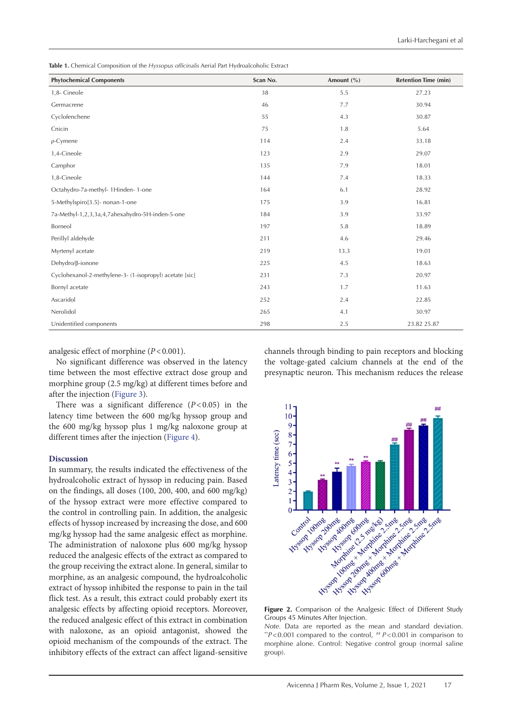<span id="page-2-0"></span>**Table 1.** Chemical Composition of the *Hyssopus officinalis* Aerial Part Hydroalcoholic Extract

| <b>Phytochemical Components</b>                         | Scan No. | Amount $(\% )$ | <b>Retention Time (min)</b> |
|---------------------------------------------------------|----------|----------------|-----------------------------|
| 1,8- Cineole                                            | 38       | 5.5            | 27.23                       |
| Germacrene                                              | 46       | 7.7            | 30.94                       |
| Cyclofenchene                                           | 55       | 4.3            | 30.87                       |
| Cnicin                                                  | 75       | 1.8            | 5.64                        |
| $\rho$ -Cymene                                          | 114      | 2.4            | 33.18                       |
| 1,4-Cineole                                             | 123      | 2.9            | 29.07                       |
| Camphor                                                 | 135      | 7.9            | 18.01                       |
| 1,8-Cineole                                             | 144      | 7.4            | 18.33                       |
| Octahydro-7a-methyl- 1Hinden- 1-one                     | 164      | 6.1            | 28.92                       |
| 5-Methylspiro[3.5]- nonan-1-one                         | 175      | 3.9            | 16.81                       |
| 7a-Methyl-1,2,3,3a,4,7ahexahydro-5H-inden-5-one         | 184      | 3.9            | 33.97                       |
| Borneol                                                 | 197      | 5.8            | 18.89                       |
| Perillyl aldehyde                                       | 211      | 4.6            | 29.46                       |
| Myrtenyl acetate                                        | 219      | 13.3           | 19.01                       |
| Dehydro/ß-ionone                                        | 225      | 4.5            | 18.63                       |
| Cyclohexanol-2-methylene-3- (1-isopropyl) acetate [sic] | 231      | 7.3            | 20.97                       |
| Bornyl acetate                                          | 243      | 1.7            | 11.63                       |
| Ascaridol                                               | 252      | 2.4            | 22.85                       |
| Nerolidol                                               | 265      | 4.1            | 30.97                       |
| Unidentified components                                 | 298      | 2.5            | 23.82 25.87                 |

analgesic effect of morphine (*P*<0.001).

No significant difference was observed in the latency time between the most effective extract dose group and morphine group (2.5 mg/kg) at different times before and after the injection [\(Figure 3](#page-3-0)).

There was a significant difference  $(P<0.05)$  in the latency time between the 600 mg/kg hyssop group and the 600 mg/kg hyssop plus 1 mg/kg naloxone group at different times after the injection ([Figure 4\)](#page-3-1).

#### **Discussion**

In summary, the results indicated the effectiveness of the hydroalcoholic extract of hyssop in reducing pain. Based on the findings, all doses (100, 200, 400, and 600 mg/kg) of the hyssop extract were more effective compared to the control in controlling pain. In addition, the analgesic effects of hyssop increased by increasing the dose, and 600 mg/kg hyssop had the same analgesic effect as morphine. The administration of naloxone plus 600 mg/kg hyssop reduced the analgesic effects of the extract as compared to the group receiving the extract alone. In general, similar to morphine, as an analgesic compound, the hydroalcoholic extract of hyssop inhibited the response to pain in the tail flick test. As a result, this extract could probably exert its analgesic effects by affecting opioid receptors. Moreover, the reduced analgesic effect of this extract in combination with naloxone, as an opioid antagonist, showed the opioid mechanism of the compounds of the extract. The inhibitory effects of the extract can affect ligand-sensitive

channels through binding to pain receptors and blocking the voltage-gated calcium channels at the end of the presynaptic neuron. This mechanism reduces the release

<span id="page-2-1"></span>

Groups 45 Minutes After Injection.

*Note.* Data are reported as the mean and standard deviation. *\*\*P*<0.001 compared to the control, *\*\*P*<0.001 in comparison to morphine alone. Control: Negative control group (normal saline group).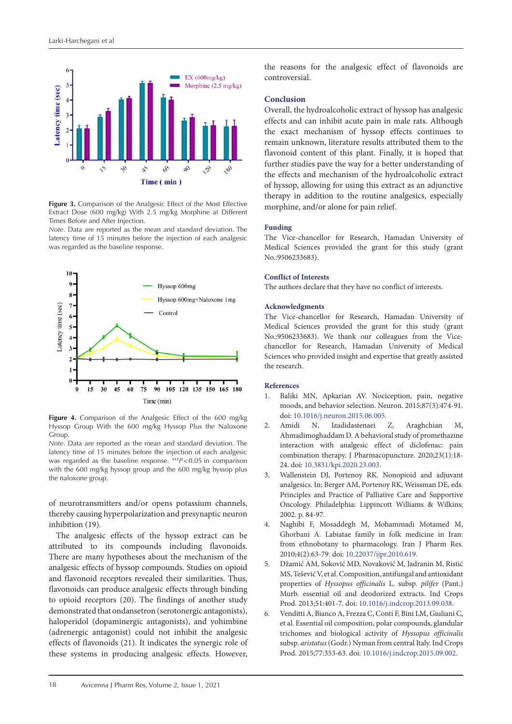<span id="page-3-0"></span>

**Figure 3.** Comparison of the Analgesic Effect of the Most Effective Extract Dose (600 mg/kg) With 2.5 mg/kg Morphine at Different Times Before and After Injection.

*Note*. Data are reported as the mean and standard deviation. The latency time of 15 minutes before the injection of each analgesic was regarded as the baseline response.

<span id="page-3-1"></span>

**Figure 4.** Comparison of the Analgesic Effect of the 600 mg/kg Hyssop Group With the 600 mg/kg Hyssop Plus the Naloxone Group.

*Note*. Data are reported as the mean and standard deviation. The latency time of 15 minutes before the injection of each analgesic was regarded as the baseline response. ###*P*<0.05 in comparison with the 600 mg/kg hyssop group and the 600 mg/kg hyssop plus the naloxone group.

of neurotransmitters and/or opens potassium channels, thereby causing hyperpolarization and presynaptic neuron inhibition (19).

The analgesic effects of the hyssop extract can be attributed to its compounds including flavonoids. There are many hypotheses about the mechanism of the analgesic effects of hyssop compounds. Studies on opioid and flavonoid receptors revealed their similarities. Thus, flavonoids can produce analgesic effects through binding to opioid receptors (20). The findings of another study demonstrated that ondansetron (serotonergic antagonists), haloperidol (dopaminergic antagonists), and yohimbine (adrenergic antagonist) could not inhibit the analgesic effects of flavonoids (21). It indicates the synergic role of these systems in producing analgesic effects. However,

the reasons for the analgesic effect of flavonoids are controversial.

## **Conclusion**

Overall, the hydroalcoholic extract of hyssop has analgesic effects and can inhibit acute pain in male rats. Although the exact mechanism of hyssop effects continues to remain unknown, literature results attributed them to the flavonoid content of this plant. Finally, it is hoped that further studies pave the way for a better understanding of the effects and mechanism of the hydroalcoholic extract of hyssop, allowing for using this extract as an adjunctive therapy in addition to the routine analgesics, especially morphine, and/or alone for pain relief.

#### **Funding**

The Vice-chancellor for Research, Hamadan University of Medical Sciences provided the grant for this study (grant No.:9506233683).

## **Conflict of Interests**

The authors declare that they have no conflict of interests.

## **Acknowledgments**

The Vice-chancellor for Research, Hamadan University of Medical Sciences provided the grant for this study (grant No.:9506233683). We thank our colleagues from the Vicechancellor for Research, Hamadan University of Medical Sciences who provided insight and expertise that greatly assisted the research.

#### **References**

- 1. Baliki MN, Apkarian AV. Nociception, pain, negative moods, and behavior selection. Neuron. 2015;87(3):474-91. doi: [10.1016/j.neuron.2015.06.005.](https://doi.org/10.1016/j.neuron.2015.06.005)
- 2. Amidi N, Izadidastenaei Z, Araghchian M, Ahmadimoghaddam D. A behavioral study of promethazine interaction with analgesic effect of diclofenac: pain combination therapy. J Pharmacopuncture. 2020;23(1):18- 24. doi: [10.3831/kpi.2020.23.003](https://doi.org/10.3831/kpi.2020.23.003).
- 3. Wallenstein DJ, Portenoy RK. Nonopioid and adjuvant analgesics. In: Berger AM, Portenoy RK, Weissman DE, eds. Principles and Practice of Palliative Care and Supportive Oncology. Philadelphia: Lippincott Williams & Wilkins; 2002. p. 84-97.
- 4. Naghibi F, Mosaddegh M, Mohammadi Motamed M, Ghorbani A. Labiatae family in folk medicine in Iran: from ethnobotany to pharmacology. Iran J Pharm Res. 2010;4(2):63-79. doi: [10.22037/ijpr.2010.619.](https://doi.org/10.22037/ijpr.2010.619)
- 5. Džamić AM, Soković MD, Novaković M, Jadranin M, Ristić MS, Tešević V, et al. Composition, antifungal and antioxidant properties of *Hyssopus officinalis* L. subsp. *pilifer* (Pant.) Murb. essential oil and deodorized extracts. Ind Crops Prod. 2013;51:401-7. doi: [10.1016/j.indcrop.2013.09.038.](https://doi.org/10.1016/j.indcrop.2013.09.038)
- 6. Venditti A, Bianco A, Frezza C, Conti F, Bini LM, Giuliani C, et al. Essential oil composition, polar compounds, glandular trichomes and biological activity of *Hyssopus officinalis* subsp. *aristatus* (Godr.) Nyman from central Italy. Ind Crops Prod. 2015;77:353-63. doi: [10.1016/j.indcrop.2015.09.002](https://doi.org/10.1016/j.indcrop.2015.09.002).